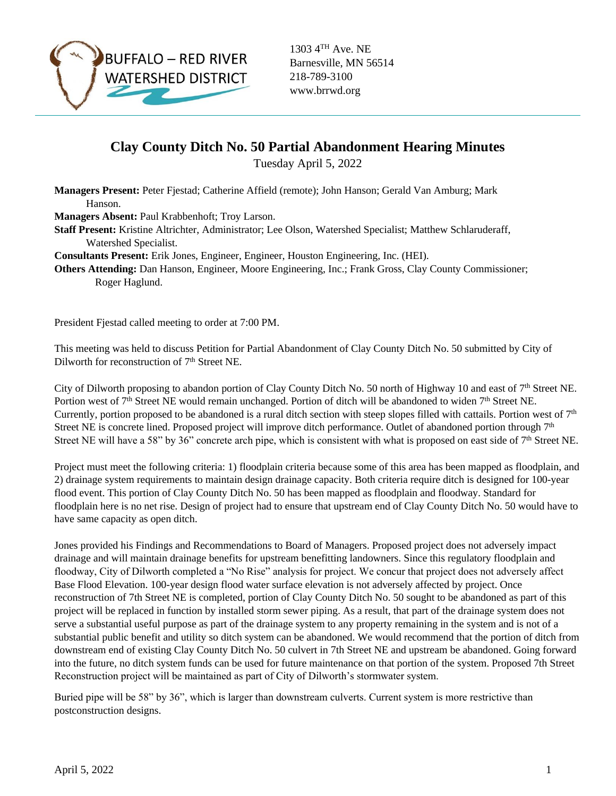

1303 4TH Ave. NE Barnesville, MN 56514 218-789-3100 www.brrwd.org

## **Clay County Ditch No. 50 Partial Abandonment Hearing Minutes**

Tuesday April 5, 2022

**Managers Present:** Peter Fjestad; Catherine Affield (remote); John Hanson; Gerald Van Amburg; Mark Hanson.

**Managers Absent:** Paul Krabbenhoft; Troy Larson.

**Staff Present:** Kristine Altrichter, Administrator; Lee Olson, Watershed Specialist; Matthew Schlaruderaff, Watershed Specialist.

**Consultants Present:** Erik Jones, Engineer, Engineer, Houston Engineering, Inc. (HEI).

**Others Attending:** Dan Hanson, Engineer, Moore Engineering, Inc.; Frank Gross, Clay County Commissioner; Roger Haglund.

President Fjestad called meeting to order at 7:00 PM.

This meeting was held to discuss Petition for Partial Abandonment of Clay County Ditch No. 50 submitted by City of Dilworth for reconstruction of 7<sup>th</sup> Street NE.

City of Dilworth proposing to abandon portion of Clay County Ditch No. 50 north of Highway 10 and east of 7<sup>th</sup> Street NE. Portion west of 7<sup>th</sup> Street NE would remain unchanged. Portion of ditch will be abandoned to widen 7<sup>th</sup> Street NE. Currently, portion proposed to be abandoned is a rural ditch section with steep slopes filled with cattails. Portion west of  $7<sup>th</sup>$ Street NE is concrete lined. Proposed project will improve ditch performance. Outlet of abandoned portion through  $7<sup>th</sup>$ Street NE will have a 58" by 36" concrete arch pipe, which is consistent with what is proposed on east side of  $7<sup>th</sup>$  Street NE.

Project must meet the following criteria: 1) floodplain criteria because some of this area has been mapped as floodplain, and 2) drainage system requirements to maintain design drainage capacity. Both criteria require ditch is designed for 100-year flood event. This portion of Clay County Ditch No. 50 has been mapped as floodplain and floodway. Standard for floodplain here is no net rise. Design of project had to ensure that upstream end of Clay County Ditch No. 50 would have to have same capacity as open ditch.

Jones provided his Findings and Recommendations to Board of Managers. Proposed project does not adversely impact drainage and will maintain drainage benefits for upstream benefitting landowners. Since this regulatory floodplain and floodway, City of Dilworth completed a "No Rise" analysis for project. We concur that project does not adversely affect Base Flood Elevation. 100-year design flood water surface elevation is not adversely affected by project. Once reconstruction of 7th Street NE is completed, portion of Clay County Ditch No. 50 sought to be abandoned as part of this project will be replaced in function by installed storm sewer piping. As a result, that part of the drainage system does not serve a substantial useful purpose as part of the drainage system to any property remaining in the system and is not of a substantial public benefit and utility so ditch system can be abandoned. We would recommend that the portion of ditch from downstream end of existing Clay County Ditch No. 50 culvert in 7th Street NE and upstream be abandoned. Going forward into the future, no ditch system funds can be used for future maintenance on that portion of the system. Proposed 7th Street Reconstruction project will be maintained as part of City of Dilworth's stormwater system.

Buried pipe will be 58" by 36", which is larger than downstream culverts. Current system is more restrictive than postconstruction designs.